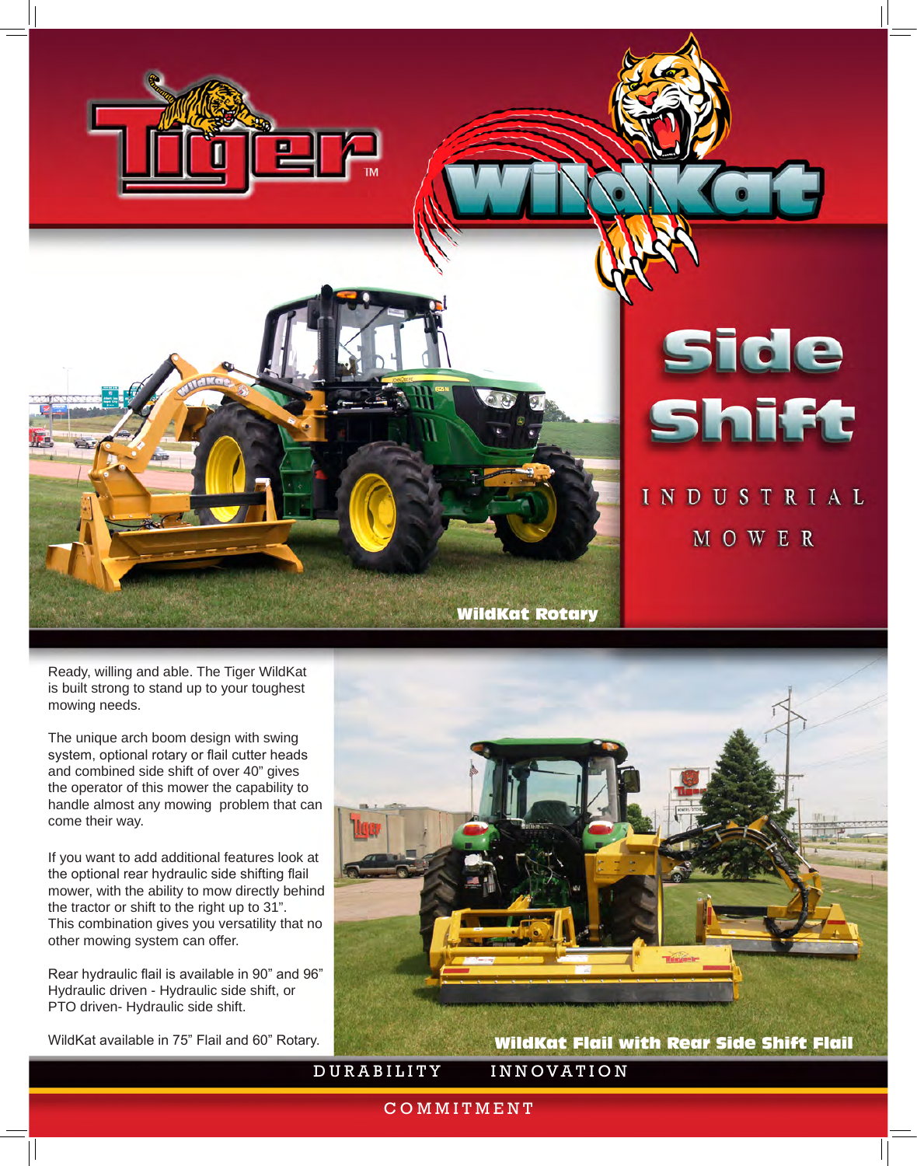

Ready, willing and able. The Tiger WildKat is built strong to stand up to your toughest mowing needs.

The unique arch boom design with swing system, optional rotary or flail cutter heads and combined side shift of over 40" gives the operator of this mower the capability to handle almost any mowing problem that can come their way.

If you want to add additional features look at the optional rear hydraulic side shifting flail mower, with the ability to mow directly behind the tractor or shift to the right up to 31". This combination gives you versatility that no other mowing system can offer.

Rear hydraulic flail is available in 90" and 96" Hydraulic driven - Hydraulic side shift, or PTO driven- Hydraulic side shift.

WildKat available in 75" Flail and 60" Rotary.



COMMITMENT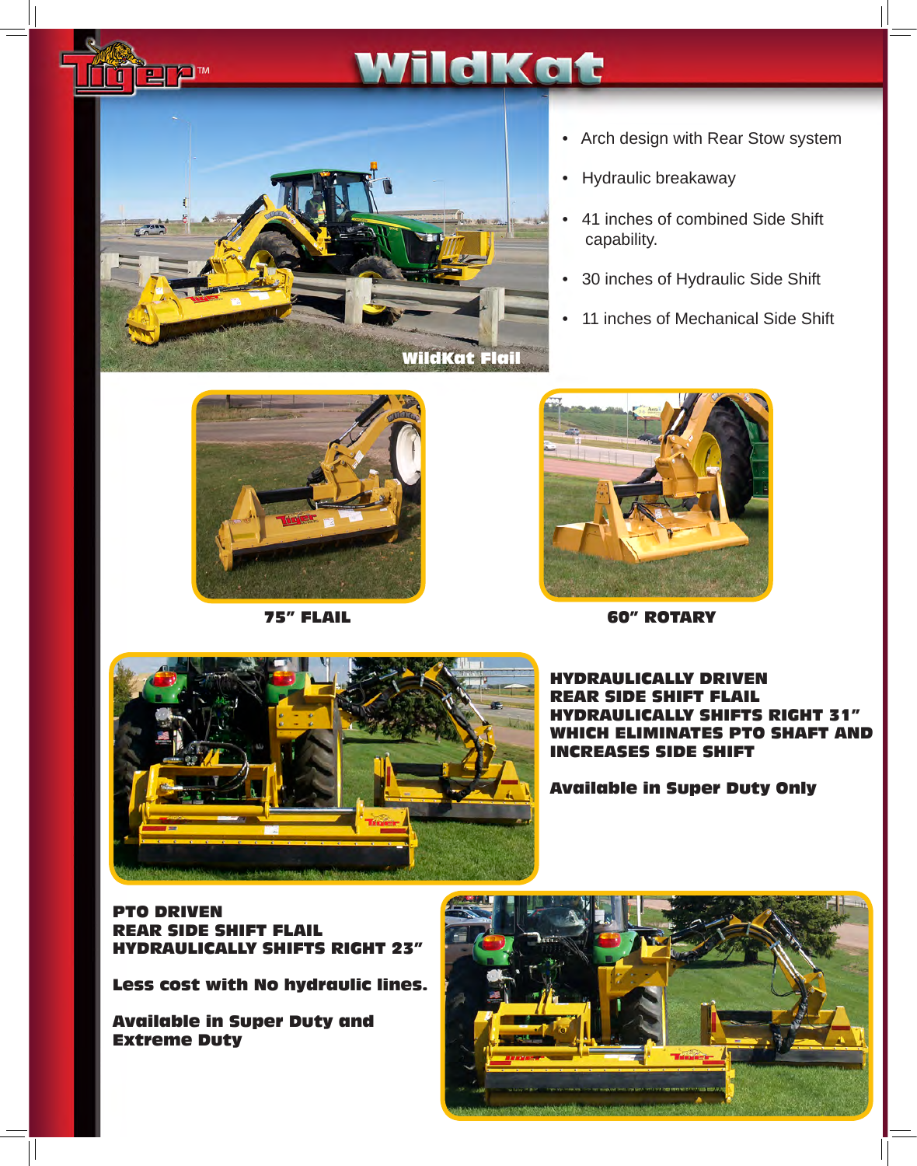

Ĩ

WildKat Flail

### • Arch design with Rear Stow system

- Hydraulic breakaway
- 41 inches of combined Side Shift capability.
- 30 inches of Hydraulic Side Shift
- 11 inches of Mechanical Side Shift





75" FLAIL 60" ROTARY



#### RAULICALLY DRIVEN DE SHIET EL FTS RIGHT 31' CH ELIMINATES PTO SHAFT AND **CREASES SIDE SHIFT**

Available in Super Duty Only

PTO DRIVEN **REAR SIDE SHIFT** HYDRAULICALLY SHIFTS RIGHT 23"

Less cost with No hydraulic lines.

Available in Super Duty and Extreme Duty

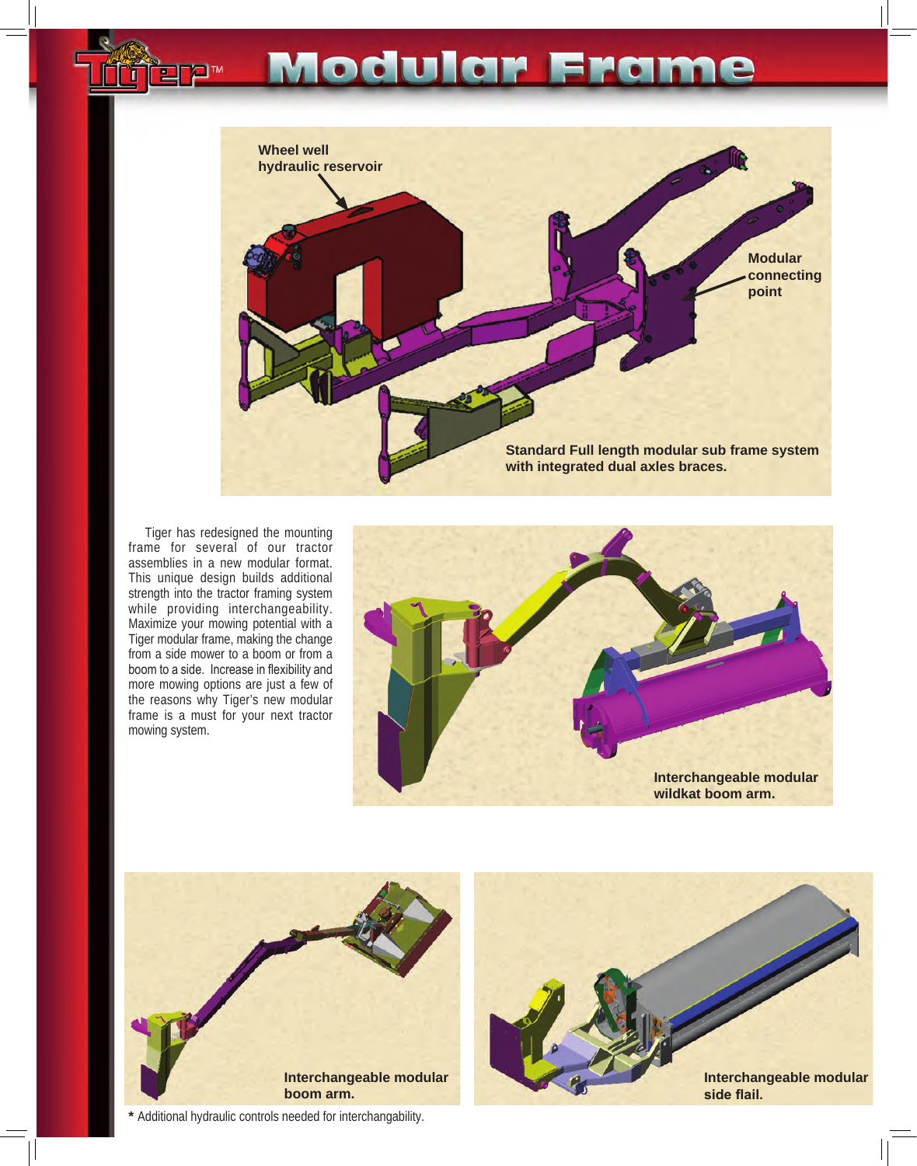## Modular Frame



Tiger has redesigned the mounting frame for several of our tractor assemblies in a new modular format. This unique design builds additional strength into the tractor framing system while providing interchangeability. Maximize your mowing potential with a Tiger modular frame, making the change from a side mower to a boom or from a boom to a side. Increase in flexibility and more mowing options are just a few of the reasons why Tiger's new modular frame is a must for your next tractor mowing system.





**\*** Additional hydraulic controls needed for interchangability.